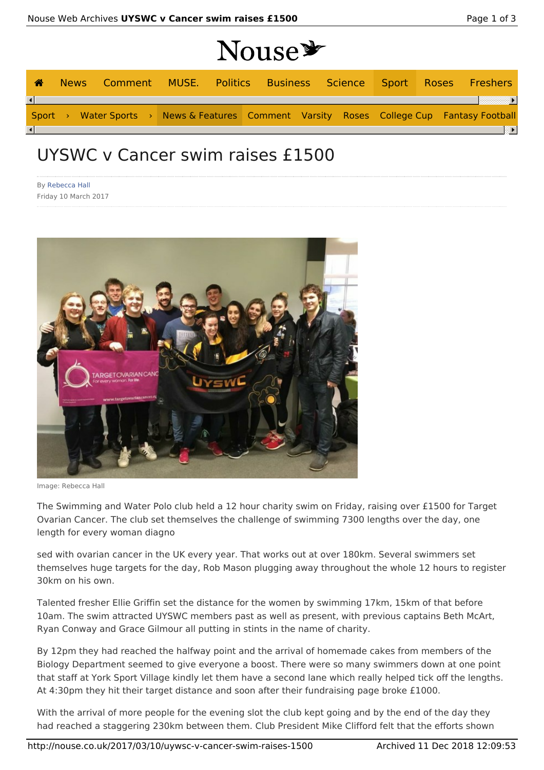| Nouse * |  |  |  |  |  |  |  |  |  |  |  |                                                                                           |
|---------|--|--|--|--|--|--|--|--|--|--|--|-------------------------------------------------------------------------------------------|
| ◢       |  |  |  |  |  |  |  |  |  |  |  | News Comment MUSE. Politics Business Science Sport Roses Freshers                         |
|         |  |  |  |  |  |  |  |  |  |  |  |                                                                                           |
|         |  |  |  |  |  |  |  |  |  |  |  | Sport > Water Sports > News & Features Comment Varsity Roses College Cup Fantasy Football |
|         |  |  |  |  |  |  |  |  |  |  |  | $\overline{\phantom{a}}$                                                                  |

## UYSWC v Cancer swim raises £1500

By Rebecca Hall Friday 10 March 2017



Image: Rebecca Hall

The Swimming and Water Polo club held a 12 hour charity swim on Friday, raising over £1500 for Target Ovarian Cancer. The club set themselves the challenge of swimming 7300 lengths over the day, one length for every woman diagno

sed with ovarian cancer in the UK every year. That works out at over 180km. Several swimmers set themselves huge targets for the day, Rob Mason plugging away throughout the whole 12 hours to register 30km on his own.

Talented fresher Ellie Griffin set the distance for the women by swimming 17km, 15km of that before 10am. The swim attracted UYSWC members past as well as present, with previous captains Beth McArt, Ryan Conway and Grace Gilmour all putting in stints in the name of charity.

By 12pm they had reached the halfway point and the arrival of homemade cakes from members of the Biology Department seemed to give everyone a boost. There were so many swimmers down at one point that staff at York Sport Village kindly let them have a second lane which really helped tick off the lengths. At 4:30pm they hit their target distance and soon after their fundraising page broke £1000.

With the arrival of more people for the evening slot the club kept going and by the end of the day they had reached a staggering 230km between them. Club President Mike Clifford felt that the efforts shown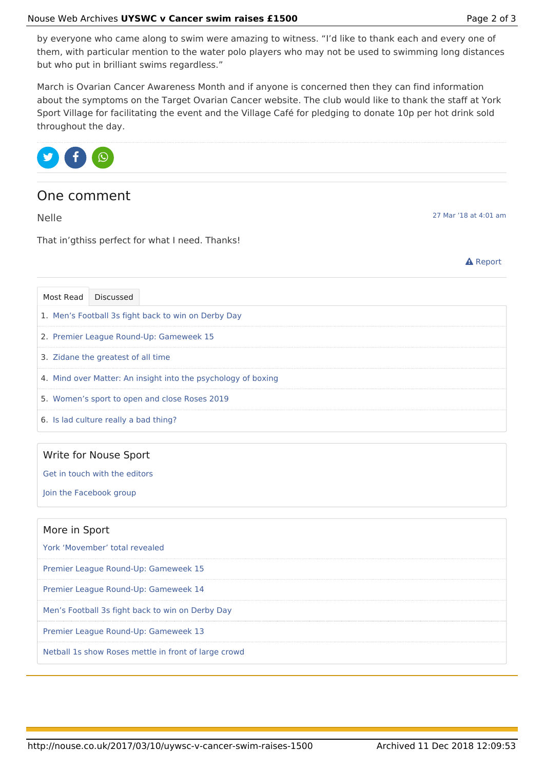by everyone who came along to swim were amazing to witness. "I'd like to thank each and every one of them, with particular mention to the water polo players who may not be used to swimming long distances but who put in brilliant swims regardless."

March is Ovarian Cancer Awareness Month and if anyone is concerned then they can find information about the symptoms on the Target Ovarian Cancer website. The club would like to thank the staff at York Sport Village for facilitating the event and the Village Café for pledging to donate 10p per hot drink sold throughout the day.



## One comment

Nelle

27 Mar '18 at 4:01 am

That in'gthiss perfect for what I need. Thanks!



| Most Read Discussed                                           |                                       |  |  |  |  |  |  |
|---------------------------------------------------------------|---------------------------------------|--|--|--|--|--|--|
| 1. Men's Football 3s fight back to win on Derby Day           |                                       |  |  |  |  |  |  |
| 2. Premier League Round-Up: Gameweek 15                       |                                       |  |  |  |  |  |  |
|                                                               | 3. Zidane the greatest of all time    |  |  |  |  |  |  |
| 4. Mind over Matter: An insight into the psychology of boxing |                                       |  |  |  |  |  |  |
| 5. Women's sport to open and close Roses 2019                 |                                       |  |  |  |  |  |  |
|                                                               | 6. Is lad culture really a bad thing? |  |  |  |  |  |  |

|  | Write for Nouse Sport |  |
|--|-----------------------|--|
|  |                       |  |

Get in touch with the editors

Join the Facebook group

| More in Sport                                        |
|------------------------------------------------------|
| York 'Movember' total revealed                       |
| Premier League Round-Up: Gameweek 15                 |
| Premier League Round-Up: Gameweek 14                 |
| Men's Football 3s fight back to win on Derby Day     |
| Premier League Round-Up: Gameweek 13                 |
| Netball 1s show Roses mettle in front of large crowd |